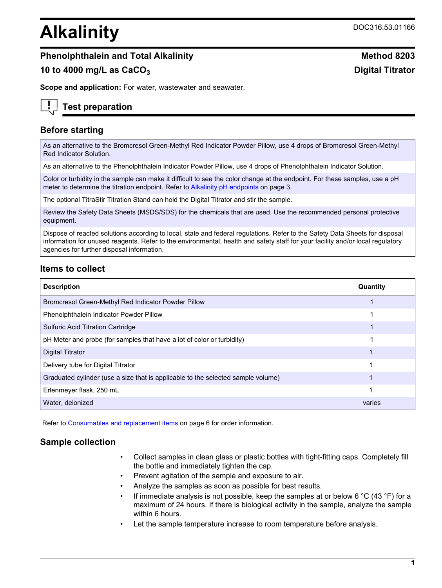# **Alkalinity** DOC316.53.01166

# **Phenolphthalein and Total Alkalinity Method 8203 Method 8203**

# **10 to 4000 mg/L as CaCO<sup>3</sup> Digital Titrator**

**Scope and application:** For water, wastewater and seawater.

# **Test preparation**

# **Before starting**

As an alternative to the Bromcresol Green-Methyl Red Indicator Powder Pillow, use 4 drops of Bromcresol Green-Methyl Red Indicator Solution.

As an alternative to the Phenolphthalein Indicator Powder Pillow, use 4 drops of Phenolphthalein Indicator Solution.

Color or turbidity in the sample can make it difficult to see the color change at the endpoint. For these samples, use a pH meter to determine the titration endpoint. Refer to [Alkalinity pH endpoints](#page-2-0) on page 3.

The optional TitraStir Titration Stand can hold the Digital Titrator and stir the sample.

Review the Safety Data Sheets (MSDS/SDS) for the chemicals that are used. Use the recommended personal protective equipment.

Dispose of reacted solutions according to local, state and federal regulations. Refer to the Safety Data Sheets for disposal information for unused reagents. Refer to the environmental, health and safety staff for your facility and/or local regulatory agencies for further disposal information.

## **Items to collect**

| <b>Description</b>                                                               | Quantity |
|----------------------------------------------------------------------------------|----------|
| Bromcresol Green-Methyl Red Indicator Powder Pillow                              |          |
| Phenolphthalein Indicator Powder Pillow                                          |          |
| <b>Sulfuric Acid Titration Cartridge</b>                                         |          |
| pH Meter and probe (for samples that have a lot of color or turbidity)           |          |
| <b>Digital Titrator</b>                                                          |          |
| Delivery tube for Digital Titrator                                               |          |
| Graduated cylinder (use a size that is applicable to the selected sample volume) |          |
| Erlenmeyer flask, 250 mL                                                         |          |
| Water, deionized                                                                 | varies   |

Refer to [Consumables and replacement items](#page-5-0) on page 6 for order information.

## **Sample collection**

- Collect samples in clean glass or plastic bottles with tight-fitting caps. Completely fill the bottle and immediately tighten the cap.
- Prevent agitation of the sample and exposure to air.
- Analyze the samples as soon as possible for best results.
- If immediate analysis is not possible, keep the samples at or below 6  $\degree$ C (43  $\degree$ F) for a maximum of 24 hours. If there is biological activity in the sample, analyze the sample within 6 hours.
- Let the sample temperature increase to room temperature before analysis.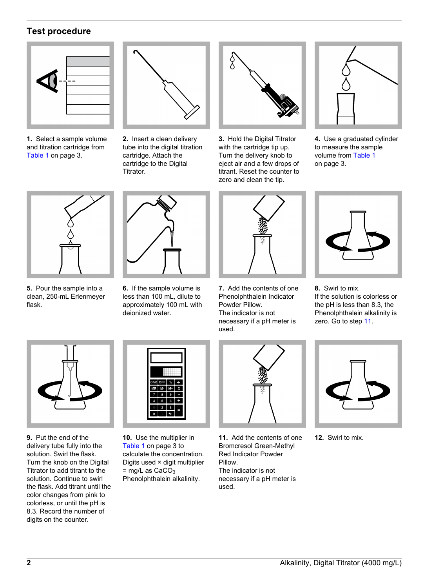# **Test procedure**



**1.** Select a sample volume and titration cartridge from [Table 1](#page-2-1) on page 3.



**2.** Insert a clean delivery tube into the digital titration cartridge. Attach the cartridge to the Digital Titrator.



**3.** Hold the Digital Titrator with the cartridge tip up. Turn the delivery knob to eject air and a few drops of titrant. Reset the counter to zero and clean the tip.



**4.** Use a graduated cylinder to measure the sample volume from [Table 1](#page-2-1) on page 3.



**5.** Pour the sample into a clean, 250-mL Erlenmeyer flask.



**6.** If the sample volume is less than 100 mL, dilute to approximately 100 mL with deionized water.



**7.** Add the contents of one Phenolphthalein Indicator Powder Pillow. The indicator is not necessary if a pH meter is used.



**8.** Swirl to mix. If the solution is colorless or the pH is less than 8.3, the Phenolphthalein alkalinity is zero. Go to step [11.](#page-1-0)

<span id="page-1-0"></span>

**9.** Put the end of the delivery tube fully into the solution. Swirl the flask. Turn the knob on the Digital Titrator to add titrant to the solution. Continue to swirl the flask. Add titrant until the color changes from pink to colorless, or until the pH is 8.3. Record the number of digits on the counter.



**10.** Use the multiplier in [Table 1](#page-2-1) on page 3 to calculate the concentration. Digits used × digit multiplier  $=$  mg/L as CaCO<sub>3</sub> Phenolphthalein alkalinity.



**11.** Add the contents of one Bromcresol Green-Methyl Red Indicator Powder Pillow. The indicator is not necessary if a pH meter is used.



**12.** Swirl to mix.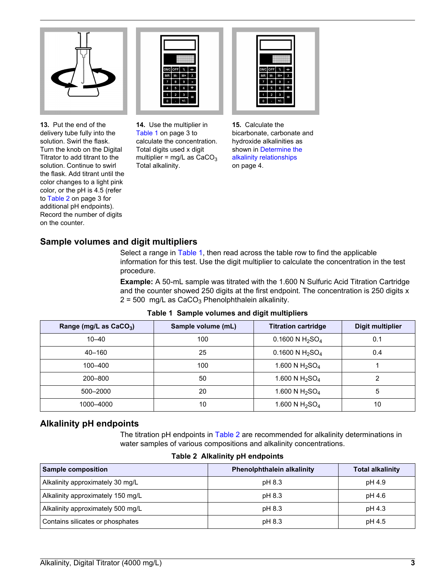

**13.** Put the end of the delivery tube fully into the solution. Swirl the flask. Turn the knob on the Digital Titrator to add titrant to the solution. Continue to swirl the flask. Add titrant until the color changes to a light pink color, or the pH is 4.5 (refer to [Table 2](#page-2-2) on page 3 for additional pH endpoints). Record the number of digits on the counter.



**14.** Use the multiplier in [Table 1](#page-2-1) on page 3 to calculate the concentration. Total digits used x digit multiplier =  $mg/L$  as  $CaCO<sub>3</sub>$ Total alkalinity.



**15.** Calculate the bicarbonate, carbonate and hydroxide alkalinities as shown in [Determine the](#page-3-0) [alkalinity relationships](#page-3-0) on page 4.

# **Sample volumes and digit multipliers**

Select a range in [Table 1](#page-2-1), then read across the table row to find the applicable information for this test. Use the digit multiplier to calculate the concentration in the test procedure.

**Example:** A 50-mL sample was titrated with the 1.600 N Sulfuric Acid Titration Cartridge and the counter showed 250 digits at the first endpoint. The concentration is 250 digits x  $2 = 500$  mg/L as CaCO<sub>3</sub> Phenolphthalein alkalinity.

<span id="page-2-2"></span><span id="page-2-1"></span><span id="page-2-0"></span>

| Range (mg/L as CaCO <sub>3</sub> ) | Sample volume (mL) | <b>Titration cartridge</b>              | <b>Digit multiplier</b> |
|------------------------------------|--------------------|-----------------------------------------|-------------------------|
| $10 - 40$                          | 100                | 0.1600 N H <sub>2</sub> SO <sub>4</sub> | 0.1                     |
| $40 - 160$                         | 25                 | 0.1600 N $H_2SO_4$                      | 0.4                     |
| 100-400                            | 100                | 1.600 N $H_2SO_4$                       |                         |
| 200-800                            | 50                 | 1.600 N $H_2SO_4$                       | ົ                       |
| 500-2000                           | 20                 | 1.600 N $H_2SO_4$                       | 5                       |
| 1000-4000                          | 10                 | 1.600 N $H_2SO_4$                       | 10                      |

**Table 1 Sample volumes and digit multipliers**

#### **Alkalinity pH endpoints**

The titration pH endpoints in [Table 2](#page-2-2) are recommended for alkalinity determinations in water samples of various compositions and alkalinity concentrations.

#### **Table 2 Alkalinity pH endpoints**

| <b>Sample composition</b>         | <b>Phenolphthalein alkalinity</b> | <b>Total alkalinity</b> |
|-----------------------------------|-----------------------------------|-------------------------|
| Alkalinity approximately 30 mg/L  | pH 8.3                            | pH 4.9                  |
| Alkalinity approximately 150 mg/L | pH 8.3                            | pH 4.6                  |
| Alkalinity approximately 500 mg/L | pH 8.3                            | pH 4.3                  |
| Contains silicates or phosphates  | pH 8.3                            | pH 4.5                  |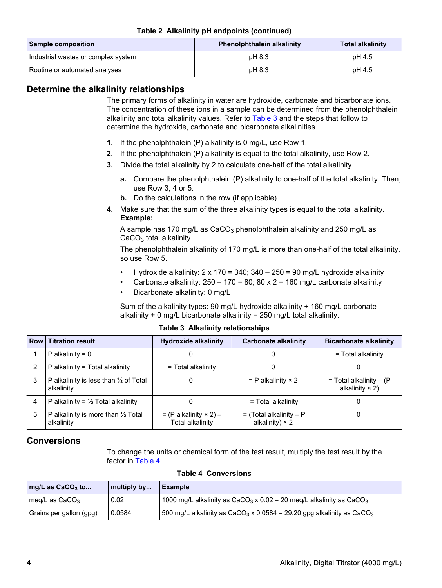| <b>Sample composition</b>           | <b>Phenolphthalein alkalinity</b> | <b>Total alkalinity</b> |  |
|-------------------------------------|-----------------------------------|-------------------------|--|
| Industrial wastes or complex system | pH 8.3                            | pH 4.5                  |  |
| Routine or automated analyses       | pH 8.3                            | pH 4.5                  |  |

#### **Table 2 Alkalinity pH endpoints (continued)**

#### <span id="page-3-0"></span>**Determine the alkalinity relationships**

The primary forms of alkalinity in water are hydroxide, carbonate and bicarbonate ions. The concentration of these ions in a sample can be determined from the phenolphthalein alkalinity and total alkalinity values. Refer to [Table 3](#page-3-1) and the steps that follow to determine the hydroxide, carbonate and bicarbonate alkalinities.

- **1.** If the phenolphthalein (P) alkalinity is 0 mg/L, use Row 1.
- **2.** If the phenolphthalein (P) alkalinity is equal to the total alkalinity, use Row 2.
- **3.** Divide the total alkalinity by 2 to calculate one-half of the total alkalinity.
	- **a.** Compare the phenolphthalein (P) alkalinity to one-half of the total alkalinity. Then, use Row 3, 4 or 5.
	- **b.** Do the calculations in the row (if applicable).
- **4.** Make sure that the sum of the three alkalinity types is equal to the total alkalinity. **Example:**

A sample has 170 mg/L as  $CaCO<sub>3</sub>$  phenolphthalein alkalinity and 250 mg/L as  $CaCO<sub>3</sub>$  total alkalinity.

The phenolphthalein alkalinity of 170 mg/L is more than one-half of the total alkalinity, so use Row 5.

- Hydroxide alkalinity:  $2 \times 170 = 340$ ;  $340 250 = 90$  mg/L hydroxide alkalinity
- Carbonate alkalinity:  $250 170 = 80$ ;  $80 \times 2 = 160$  mg/L carbonate alkalinity
- Bicarbonate alkalinity: 0 mg/L

Sum of the alkalinity types: 90 mg/L hydroxide alkalinity + 160 mg/L carbonate alkalinity  $+ 0$  mg/L bicarbonate alkalinity = 250 mg/L total alkalinity.

|   | <b>Row Titration result</b>                                    | <b>Hydroxide alkalinity</b>                      | Carbonate alkalinity                                | <b>Bicarbonate alkalinity</b>                         |
|---|----------------------------------------------------------------|--------------------------------------------------|-----------------------------------------------------|-------------------------------------------------------|
|   | P alkalinity = $0$                                             | 0                                                |                                                     | = Total alkalinity                                    |
| 2 | P alkalinity = Total alkalinity                                | = Total alkalinity                               |                                                     | U                                                     |
| 3 | P alkalinity is less than $\frac{1}{2}$ of Total<br>alkalinity | 0                                                | $=$ P alkalinity $\times$ 2                         | $=$ Total alkalinity $-$ (P<br>alkalinity $\times$ 2) |
| 4 | P alkalinity = $\frac{1}{2}$ Total alkalinity                  | 0                                                | = Total alkalinity                                  |                                                       |
| 5 | P alkalinity is more than $\frac{1}{2}$ Total<br>alkalinity    | $= (P \n  alkalinity × 2) -$<br>Total alkalinity | $=$ (Total alkalinity – P<br>alkalinity) $\times$ 2 |                                                       |

#### **Table 3 Alkalinity relationships**

#### <span id="page-3-2"></span><span id="page-3-1"></span>**Conversions**

To change the units or chemical form of the test result, multiply the test result by the factor in [Table 4.](#page-3-2)

| mg/L as $CaCO3$ to      | multiply by | <b>Example</b>                                                                              |
|-------------------------|-------------|---------------------------------------------------------------------------------------------|
| meg/L as $CaCO3$        | 0.02        | 1000 mg/L alkalinity as CaCO <sub>3</sub> x 0.02 = 20 meg/L alkalinity as CaCO <sub>3</sub> |
| Grains per gallon (qpq) | 0.0584      | 500 mg/L alkalinity as $CaCO3 \times 0.0584 = 29.20$ gpg alkalinity as $CaCO3$              |

#### **Table 4 Conversions**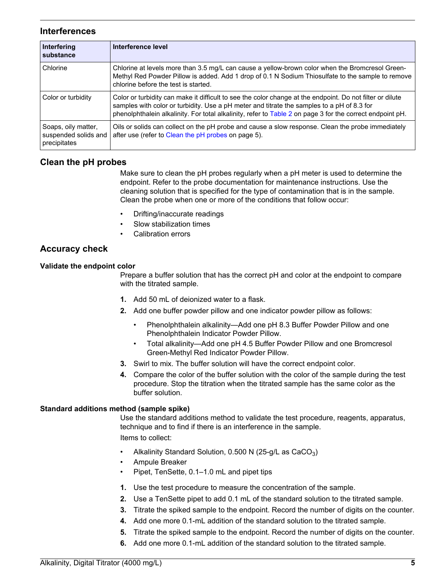#### **Interferences**

<span id="page-4-0"></span>

| Interfering<br>substance                                    | Interference level                                                                                                                                                                                                                                                                                                   |
|-------------------------------------------------------------|----------------------------------------------------------------------------------------------------------------------------------------------------------------------------------------------------------------------------------------------------------------------------------------------------------------------|
| Chlorine                                                    | Chlorine at levels more than 3.5 mg/L can cause a yellow-brown color when the Bromcresol Green-<br>Methyl Red Powder Pillow is added. Add 1 drop of 0.1 N Sodium Thiosulfate to the sample to remove<br>chlorine before the test is started.                                                                         |
| Color or turbidity                                          | Color or turbidity can make it difficult to see the color change at the endpoint. Do not filter or dilute<br>samples with color or turbidity. Use a pH meter and titrate the samples to a pH of 8.3 for<br>phenolphthalein alkalinity. For total alkalinity, refer to Table 2 on page 3 for the correct endpoint pH. |
| Soaps, oily matter,<br>suspended solids and<br>precipitates | Oils or solids can collect on the pH probe and cause a slow response. Clean the probe immediately<br>after use (refer to Clean the pH probes on page 5).                                                                                                                                                             |

## **Clean the pH probes**

Make sure to clean the pH probes regularly when a pH meter is used to determine the endpoint. Refer to the probe documentation for maintenance instructions. Use the cleaning solution that is specified for the type of contamination that is in the sample. Clean the probe when one or more of the conditions that follow occur:

- Drifting/inaccurate readings
- Slow stabilization times
- Calibration errors

#### **Accuracy check**

#### **Validate the endpoint color**

Prepare a buffer solution that has the correct pH and color at the endpoint to compare with the titrated sample.

- **1.** Add 50 mL of deionized water to a flask.
- **2.** Add one buffer powder pillow and one indicator powder pillow as follows:
	- Phenolphthalein alkalinity—Add one pH 8.3 Buffer Powder Pillow and one Phenolphthalein Indicator Powder Pillow.
	- Total alkalinity—Add one pH 4.5 Buffer Powder Pillow and one Bromcresol Green-Methyl Red Indicator Powder Pillow.
- **3.** Swirl to mix. The buffer solution will have the correct endpoint color.
- **4.** Compare the color of the buffer solution with the color of the sample during the test procedure. Stop the titration when the titrated sample has the same color as the buffer solution.

#### **Standard additions method (sample spike)**

Use the standard additions method to validate the test procedure, reagents, apparatus, technique and to find if there is an interference in the sample.

Items to collect:

- Alkalinity Standard Solution,  $0.500$  N (25-g/L as CaCO<sub>3</sub>)
- Ampule Breaker
- Pipet, TenSette, 0.1–1.0 mL and pipet tips
- **1.** Use the test procedure to measure the concentration of the sample.
- **2.** Use a TenSette pipet to add 0.1 mL of the standard solution to the titrated sample.
- **3.** Titrate the spiked sample to the endpoint. Record the number of digits on the counter.
- **4.** Add one more 0.1-mL addition of the standard solution to the titrated sample.
- **5.** Titrate the spiked sample to the endpoint. Record the number of digits on the counter.
- **6.** Add one more 0.1-mL addition of the standard solution to the titrated sample.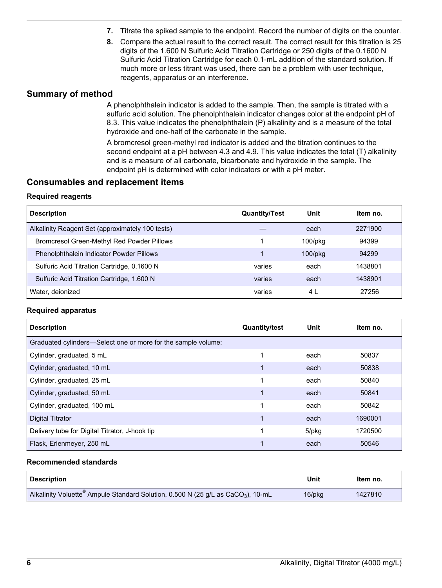- **7.** Titrate the spiked sample to the endpoint. Record the number of digits on the counter.
- **8.** Compare the actual result to the correct result. The correct result for this titration is 25 digits of the 1.600 N Sulfuric Acid Titration Cartridge or 250 digits of the 0.1600 N Sulfuric Acid Titration Cartridge for each 0.1-mL addition of the standard solution. If much more or less titrant was used, there can be a problem with user technique, reagents, apparatus or an interference.

#### **Summary of method**

A phenolphthalein indicator is added to the sample. Then, the sample is titrated with a sulfuric acid solution. The phenolphthalein indicator changes color at the endpoint pH of 8.3. This value indicates the phenolphthalein (P) alkalinity and is a measure of the total hydroxide and one-half of the carbonate in the sample.

A bromcresol green-methyl red indicator is added and the titration continues to the second endpoint at a pH between 4.3 and 4.9. This value indicates the total (T) alkalinity and is a measure of all carbonate, bicarbonate and hydroxide in the sample. The endpoint pH is determined with color indicators or with a pH meter.

#### **Consumables and replacement items**

#### **Required reagents**

<span id="page-5-0"></span>

| <b>Description</b>                               | <b>Quantity/Test</b> | Unit          | Item no. |
|--------------------------------------------------|----------------------|---------------|----------|
| Alkalinity Reagent Set (approximately 100 tests) |                      | each          | 2271900  |
| Bromcresol Green-Methyl Red Powder Pillows       |                      | $100$ /pkg    | 94399    |
| Phenolphthalein Indicator Powder Pillows         |                      | $100$ /p $kg$ | 94299    |
| Sulfuric Acid Titration Cartridge, 0.1600 N      | varies               | each          | 1438801  |
| Sulfuric Acid Titration Cartridge, 1.600 N       | varies               | each          | 1438901  |
| Water, deionized                                 | varies               | 4 L           | 27256    |

#### **Required apparatus**

| <b>Description</b>                                            | <b>Quantity/test</b> | Unit  | ltem no. |
|---------------------------------------------------------------|----------------------|-------|----------|
| Graduated cylinders—Select one or more for the sample volume: |                      |       |          |
| Cylinder, graduated, 5 mL                                     |                      | each  | 50837    |
| Cylinder, graduated, 10 mL                                    |                      | each  | 50838    |
| Cylinder, graduated, 25 mL                                    |                      | each  | 50840    |
| Cylinder, graduated, 50 mL                                    |                      | each  | 50841    |
| Cylinder, graduated, 100 mL                                   |                      | each  | 50842    |
| <b>Digital Titrator</b>                                       |                      | each  | 1690001  |
| Delivery tube for Digital Titrator, J-hook tip                |                      | 5/pkg | 1720500  |
| Flask, Erlenmeyer, 250 mL                                     |                      | each  | 50546    |

#### **Recommended standards**

| ' Description                                                                                            | Unit   | Item no. |
|----------------------------------------------------------------------------------------------------------|--------|----------|
| Alkalinity Voluette <sup>®</sup> Ampule Standard Solution, 0.500 N (25 g/L as CaCO <sub>3</sub> ), 10-mL | 16/pkg | 1427810  |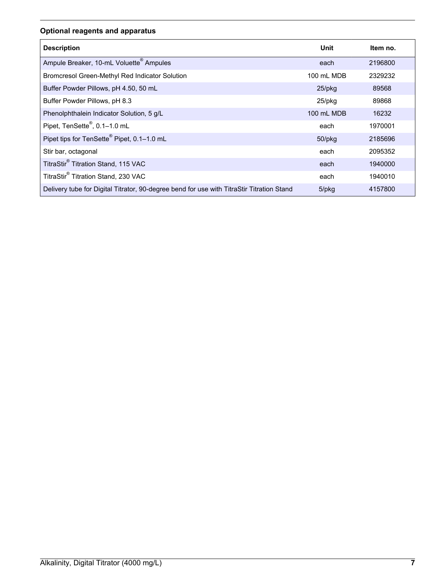# **Optional reagents and apparatus**

| <b>Description</b>                                                                        | Unit        | Item no. |
|-------------------------------------------------------------------------------------------|-------------|----------|
| Ampule Breaker, 10-mL Voluette <sup>®</sup> Ampules                                       | each        | 2196800  |
| Bromcresol Green-Methyl Red Indicator Solution                                            | 100 mL MDB  | 2329232  |
| Buffer Powder Pillows, pH 4.50, 50 mL                                                     | $25$ /pkg   | 89568    |
| Buffer Powder Pillows, pH 8.3                                                             | 25/pkg      | 89868    |
| Phenolphthalein Indicator Solution, 5 g/L                                                 | 100 mL MDB  | 16232    |
| Pipet, TenSette <sup>®</sup> , 0.1-1.0 mL                                                 | each        | 1970001  |
| Pipet tips for TenSette <sup>®</sup> Pipet, 0.1-1.0 mL                                    | 50/pkg      | 2185696  |
| Stir bar, octagonal                                                                       | each        | 2095352  |
| TitraStir® Titration Stand, 115 VAC                                                       | each        | 1940000  |
| TitraStir® Titration Stand, 230 VAC                                                       | each        | 1940010  |
| Delivery tube for Digital Titrator, 90-degree bend for use with TitraStir Titration Stand | $5$ /p $kg$ | 4157800  |